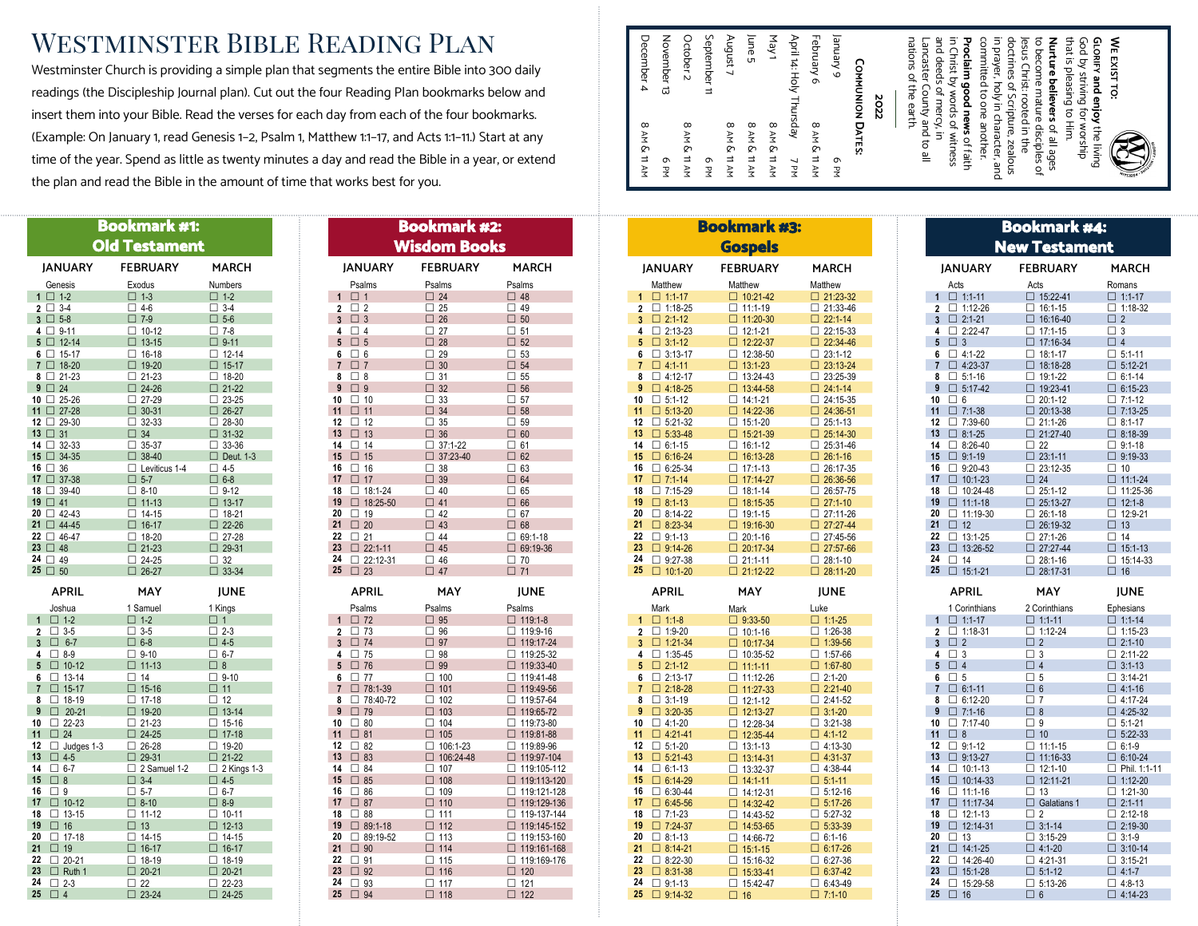## Westminster Bible Reading Plan

Westminster Church is providing a simple plan that segments the entire Bible into 300 daily readings (the Discipleship Journal plan). Cut out the four Reading Plan bookmarks below and insert them into your Bible. Read the verses for each day from each of the four bookmarks. (Example: On January 1, read Genesis 1–2, Psalm 1, Matthew 1:1–17, and Acts 1:1–11.) Start at any time of the year. Spend as little as twenty minutes a day and read the Bible in a year, or extend the plan and read the Bible in the amount of time that works best for you.

|                                                    | <b>Bookmark #1:</b>            |                                |                                          | <b>Bookmark #2:</b>            |                              |
|----------------------------------------------------|--------------------------------|--------------------------------|------------------------------------------|--------------------------------|------------------------------|
|                                                    | <b>Old Testament</b>           |                                |                                          | <b>Wisdom Books</b>            |                              |
| <b>JANUARY</b>                                     | <b>FEBRUARY</b>                | <b>MARCH</b>                   | <b>JANUARY</b>                           | <b>FEBRUARY</b>                | <b>MARC</b>                  |
| Genesis                                            | Exodus                         | <b>Numbers</b>                 | Psalms                                   | Psalms                         | Psalms                       |
| $1 \Box 1-2$                                       | $\square$ 1-3                  | $\square$ 1-2                  | 1<br>□ 1                                 | $\square$ 24                   | $\Box$ 48                    |
| $2 \Box 3-4$                                       | $\square$ 4-6                  | $\Box$ 3-4                     | $\overline{2}$<br>$\Box$ 2               | $\Box$ 25                      | $\Box$ 49                    |
| $3 \Box 5-8$                                       | $\square$ 7-9                  | $\square$ 5-6                  | $\mathbf{3}$<br>$\Box$ 3                 | $\Box$ 26                      | $\Box$ 50                    |
| $4 \Box 9-11$                                      | $\Box$ 10-12                   | $\square$ 7-8                  | $\Box$ 4<br>4                            | $\Box$ 27                      | $\square$ 51                 |
| $5 \Box 12 - 14$                                   | $\Box$ 13-15                   | $\square$ 9-11                 | $\square$ 5<br>5                         | $\square$ 28                   | $\Box$ 52                    |
| $6 \Box 15-17$                                     | $\Box$ 16-18                   | $\Box$ 12-14                   | 6<br>$\square$ 6                         | $\Box$ 29                      | $\square$ 53                 |
| 7 □ 18-20                                          | □ 19-20                        | $\Box$ 15-17                   | $\Box$ 7<br>$\overline{7}$               | $\Box$ 30                      | $\square$ 54                 |
| $8 \Box 21-23$                                     | $\Box$ 21-23                   | $\Box$ 18-20                   | 8<br>$\square$ 8<br>9                    | $\square$ 31                   | $\square$ 55                 |
| $9 \Box 24$<br>10 $\Box$ 25-26                     | $\Box$ 24-26<br>$\Box$ 27-29   | $\Box$ 21-22<br>$\Box$ 23-25   | $\Box$ 9<br>10<br>$\square$ 10           | $\Box$ 32<br>$\Box$ 33         | $\square$ 56<br>$\square$ 57 |
| 11 □ 27-28                                         | $\Box$ 30-31                   | $\Box$ 26-27                   | 11<br>$\Box$ 11                          | $\Box$ 34                      | $\square$ 58                 |
| $12 \Box 29 - 30$                                  | $\Box$ 32-33                   | $\Box$ 28-30                   | 12<br>$\Box$ 12                          | $\Box$ 35                      | $\square$ 59                 |
| 13 □ 31                                            | $\Box$ 34                      | $\Box$ 31-32                   | 13<br>$\Box$ 13                          | $\Box$ 36                      | $\square$ 60                 |
| $14 \Box 32 - 33$                                  | $\Box$ 35-37                   | $\Box$ 33-36                   | 14<br>$\square$ 14                       | $\Box$ 37:1-22                 | $\square$ 61                 |
| $15 \Box 34 - 35$                                  | $\Box$ 38-40                   | $\Box$ Deut. 1-3               | 15<br>□ 15                               | $\Box$ 37:23-40                | $\Box$ 62                    |
| $16 \Box 36$                                       | $\Box$ Leviticus 1-4           | $\square$ 4-5                  | 16<br>$\Box$ 16                          | $\Box$ 38                      | $\square$ 63                 |
| 17 37-38                                           | $\square$ 5-7                  | $\square$ 6-8                  | 17<br>$\Box$ 17                          | $\Box$ 39                      | $\Box$ 64                    |
| 18 2 39-40                                         | $\square$ 8-10                 | $\Box$ 9-12                    | 18<br>$\Box$ 18:1-24                     | $\Box$ 40                      | $\square$ 65                 |
| 19 □ 41                                            | $\square$ 11-13                | $\Box$ 13-17                   | 19<br>$\Box$ 18:25-50                    | $\Box$ 41                      | $\square$ 66                 |
| $20 \Box 42 - 43$                                  | $\Box$ 14-15                   | $\Box$ 18-21                   | 20<br>$\Box$ 19                          | $\Box$ 42                      | $\square$ 67                 |
| 21 □ 44-45                                         | $\square$ 16-17                | $\Box$ 22-26                   | 21 $\Box$ 20                             | $\Box$ 43                      | $\square$ 68                 |
| $22 \Box 46-47$                                    | $\Box$ 18-20                   | $\Box$ 27-28                   | 22<br>$\square$ 21                       | $\square$ 44                   | $\Box$ 69:1-1                |
| $23 \Box 48$                                       | $\Box$ 21-23                   | $\Box$ 29-31                   | 23<br>$\Box$ 22:1-11                     | $\Box$ 45                      | $\Box$ 69:19-                |
| 24 □ 49<br>$25 \Box 50$                            | $\Box$ 24-25                   | $\Box$ 32                      | 24<br>$\Box$ 22:12-31<br>$25 \square 23$ | $\Box$ 46                      | $\Box$ 70                    |
|                                                    | $\Box$ 26-27                   | $\square$ 33-34                |                                          | $\Box$ 47                      | $\square$ 71                 |
| <b>APRIL</b>                                       | MAY                            | <b>JUNE</b>                    | <b>APRIL</b>                             | MAY                            | <b>JUNE</b>                  |
| Joshua                                             | 1 Samuel                       | 1 Kings                        | Psalms                                   | Psalms                         | Psalms                       |
| $\square$ 1-2<br>1                                 | $\square$ 1-2                  | $\Box$ 1                       | $\square$ 72<br>1                        | $\square$ 95                   | □ 119:1-                     |
| $\Box$ 3-5<br>$\mathbf{2}$                         | $\Box$ 3-5                     | $\Box$ 2-3                     | $\Box$ 73<br>$\overline{2}$              | $\square$ 96                   | $\Box$ 119:9-                |
| $\overline{3}$<br>$\square$ 6-7<br>$\Box$ 8-9<br>4 | $\square$ 6-8<br>$\Box$ 9-10   | $\square$ 4-5<br>$\square$ 6-7 | $3 \square 74$<br>4<br>$\square$ 75      | $\square$ 97<br>$\square$ 98   | □ 119:17<br>□ 119:25         |
| 5<br>$\Box$ 10-12                                  | $\Box$ 11-13                   | $\Box$ 8                       | 5<br>□ 76                                | $\Box$ 99                      | □ 119:33                     |
| $\Box$ 13-14<br>6                                  | $\square$ 14                   | $\square$ 9-10                 | 6<br>$\Box$ 77                           | $\square$ 100                  | $\Box$ 119:41                |
| $\overline{7}$<br>$\Box$ 15-17                     | $\square$ 15-16                | $\square$ 11                   | $\overline{7}$<br>$\Box$ 78:1-39         | $\square$ 101                  | $\Box$ 119:49                |
| 8<br>$\Box$ 18-19                                  | $\Box$ 17-18                   | $\Box$ 12                      | 8<br>$78:40-72$                          | $\square$ 102                  | □ 119:57                     |
| 9<br>$\Box$ 20-21                                  | □ 19-20                        | $\square$ 13-14                | 9<br>□ 79                                | $\square$ 103                  | □ 119:65                     |
| $\Box$ 22-23<br>10                                 | $\square$ 21-23                | $\Box$ 15-16                   | 10<br>$\square$ 80                       | $\square$ 104                  | □ 119:73                     |
| $\square$ 24<br>11                                 | $\square$ 24-25                | □ 17-18                        | 11<br>$\square$ 81                       | $\square$ 105                  | □ 119:81                     |
| $\Box$ Judges 1-3<br>12                            | $\Box$ 26-28                   | $\square$ 19-20                | 12<br>$\square$ 82                       | $\Box$ 106:1-23                | □ 119:89                     |
| 13<br>$\square$ 4-5                                | $\square$ 29-31                | $\square$ 21-22                | $\square$ 83<br>13                       | $\Box$ 106:24-48               | □ 119:97                     |
| 14<br>$\square$ 6-7                                | $\Box$ 2 Samuel 1-2            | $\Box$ 2 Kings 1-3             | 14<br>$\square$ 84                       | $\square$ 107                  | $\Box$ 119:10                |
| 15<br>$\square$ 8                                  | $\square$ 3-4                  | $\square$ 4-5                  | $15 \square 85$                          | $\square$ 108                  | □ 119:11                     |
| 16<br>$\square$ 9                                  | $\square$ 5-7                  | $\square$ 6-7                  | 16<br>$\square$ 86                       | $\square$ 109                  | $\Box$ 119:12                |
| 17<br>$\square$ 10-12<br>18<br>$\Box$ 13-15        | $\square$ 8-10<br>$\Box$ 11-12 | $\Box$ 8-9<br>$\Box$ 10-11     | 17<br>$\Box$ 87<br>18<br>$\square$ 88    | $\square$ 110<br>$\square$ 111 | □ 119:12<br>$\Box$ 119-13    |
| 19<br>$\square$ 16                                 | $\square$ 13                   | $\square$ 12-13                | 19<br>$\Box$ 89:1-18                     | $\square$ 112                  | □ 119:14                     |
| 20<br>$\Box$ 17-18                                 | $\Box$ 14-15                   | $\square$ 14-15                | 20<br>$\Box$ 89:19-52                    | $\square$ 113                  | □ 119:15                     |
| 21<br>□ 19                                         | □ 16-17                        | □ 16-17                        | 21<br>$\square$ 90                       | $\square$ 114                  | □ 119:16                     |
| 22<br>$\Box$ 20-21                                 | $\Box$ 18-19                   | $\Box$ 18-19                   | 22<br>$\square$ 91                       | $\square$ 115                  | $\Box$ 119:16                |
| 23<br>$\Box$ Ruth 1                                | $\square$ 20-21                | $\Box$ 20-21                   | 23 $\Box$ 92                             | $\square$ 116                  | $\square$ 120                |
| 24<br>$\Box$ 2-3                                   | $\Box$ 22                      | $\Box$ 22-23                   | 24 3 93                                  | $\Box$ 117                     | $\Box$ 121                   |
| 25<br>$\Box$ 4                                     | $\Box$ 23-24                   | $\square$ 24-25                | $25 \square 94$                          | $\Box$ 118                     | $\Box$ 122                   |

|                                                                                                                                      | Bookmark #2:                   |                              |                                        | <b>Bookmark #3:</b>                |
|--------------------------------------------------------------------------------------------------------------------------------------|--------------------------------|------------------------------|----------------------------------------|------------------------------------|
|                                                                                                                                      | <b>Wisdom Books</b>            |                              |                                        | <b>Gospels</b>                     |
| <b>JANUARY</b>                                                                                                                       | <b>FEBRUARY</b>                | <b>MARCH</b>                 | <b>JANUARY</b>                         | <b>FEBRUARY</b>                    |
| Psalms                                                                                                                               | Psalms                         | Psalms                       | Matthew                                | Matthew                            |
| 1<br>$\Box$ 1                                                                                                                        | $\square$ 24                   | $\Box$ 48                    | $\mathbf{1}$<br>$\Box$ 1:1-17          | $\Box$ 10:21-42                    |
| $\Box$ 2<br>$\overline{2}$                                                                                                           | $\square$ 25                   | $\Box$ 49                    | $\Box$ 1:18-25<br>$\mathbf{2}$         | $\Box$ 11:1-19                     |
| $3 \square 3$                                                                                                                        | $\square$ 26                   | $\Box$ 50                    | $\mathbf{3}$<br>$\Box$ 2:1-12          | $\Box$ 11:20-30                    |
| $\Box$ 4<br>4                                                                                                                        | $\square$ 27                   | $\square$ 51                 | $\Box$ 2:13-23<br>4                    | $\Box$ 12:1-21                     |
| $5 \square 5$                                                                                                                        | $\square$ 28                   | $\Box$ 52                    | 5<br>$\Box$ 3:1-12                     | $\Box$ 12:22-37                    |
| $\square$ 6<br>6                                                                                                                     | $\square$ 29                   | $\square$ 53                 | $\Box$ 3:13-17<br>6                    | $\Box$ 12:38-50                    |
| $\square$ 7<br>$\overline{7}$                                                                                                        | $\Box$ 30                      | $\Box$ 54                    | $\overline{7}$<br>$\Box$ 4:1-11        | $\Box$ 13:1-23                     |
| $\Box$ 8<br>8<br>$\overline{9}$<br>$\square$ 9                                                                                       | $\Box$ 31<br>$\Box$ 32         | $\square$ 55                 | 8<br>$\Box$ 4:12-17<br>$\mathbf{9}$    | $\Box$ 13:24-43                    |
| $\square$ 10<br>10                                                                                                                   | $\Box$ 33                      | $\square$ 56<br>$\square$ 57 | $\Box$ 4:18-25<br>10<br>$\Box$ 5:1-12  | $\Box$ 13:44-58<br>$\Box$ 14:1-21  |
| 11<br>$\Box$ 11                                                                                                                      | $\Box$ 34                      | $\Box$ 58                    | 11<br>$\Box$ 5:13-20                   | $\Box$ 14:22-36                    |
| 12<br>$\Box$ 12                                                                                                                      | $\Box$ 35                      | $\square$ 59                 | 12<br>$\Box$ 5:21-32                   | $\Box$ 15:1-20                     |
| 13<br>$\Box$ 13                                                                                                                      | $\Box$ 36                      | $\Box$ 60                    | 13<br>$\Box$ 5:33-48                   | $\Box$ 15:21-39                    |
| 14<br>$\square$ 14                                                                                                                   | $\Box$ 37:1-22                 | $\square$ 61                 | 14<br>$\Box$ 6:1-15                    | $\Box$ 16:1-12                     |
| 15 $\Box$ 15                                                                                                                         | $\Box$ 37:23-40                | $\Box$ 62                    | 15<br>$\Box$ 6:16-24                   | $\Box$ 16:13-28                    |
| 16<br>$\square$ 16                                                                                                                   | $\Box$ 38                      | $\square$ 63                 | 16<br>$\Box$ 6:25-34                   | $\Box$ 17:1-13                     |
| 17<br>□ 17                                                                                                                           | $\Box$ 39                      | $\Box$ 64                    | 17<br>$\Box$ 7:1-14                    | □ 17:14-27                         |
| 18<br>$\Box$ 18:1-24                                                                                                                 | $\Box$ 40                      | $\square$ 65                 | 18<br>$\Box$ 7:15-29                   | $\Box$ 18:1-14                     |
| 19<br>$\Box$ 18:25-50                                                                                                                | $\Box$ 41                      | $\square$ 66                 | 19<br>$\Box$ 8:1-13                    | $\Box$ 18:15-35                    |
| 20<br>$\square$ 19                                                                                                                   | $\Box$ 42                      | $\square$ 67                 | 20<br>$\Box$ 8:14-22                   | $\Box$ 19:1-15                     |
| 21 $\Box$ 20                                                                                                                         | $\Box$ 43                      | $\square$ 68                 | 21<br>$\Box$ 8:23-34                   | $\Box$ 19:16-30                    |
| 22<br>$\square$ 21                                                                                                                   | $\Box$ 44                      | $\Box$ 69:1-18               | 22<br>$\Box$ 9:1-13                    | $\Box$ 20:1-16                     |
| 23<br>$\Box$ 22:1-11                                                                                                                 | $\Box$ 45                      | $\Box$ 69:19-36              | 23<br>$\Box$ 9:14-26                   | $\Box$ 20:17-34                    |
|                                                                                                                                      |                                |                              |                                        |                                    |
| $\Box$ 22:12-31                                                                                                                      | $\square$ 46                   | $\square$ 70                 | 24<br>$\Box$ 9:27-38                   | $\Box$ 21:1-11                     |
|                                                                                                                                      | $\Box$ 47                      | $\Box$ 71                    | 25 10:1-20                             | $\Box$ 21:12-22                    |
| <b>APRIL</b>                                                                                                                         | MAY                            | <b>JUNE</b>                  | <b>APRIL</b>                           | MAY                                |
| Psalms                                                                                                                               | Psalms                         | Psalms                       | Mark                                   | Mark                               |
| $\Box$ 72                                                                                                                            | $\Box$ 95                      | $\Box$ 119:1-8               | $\Box$ 1:1-8<br>$\mathbf{1}$           | $\Box$ 9:33-50                     |
| $\square$ 73                                                                                                                         | $\square$ 96                   | □ 119:9-16                   | $\Box$ 1:9-20<br>$\mathbf{2}$          | $\Box$ 10:1-16                     |
|                                                                                                                                      | $\square$ 97                   | □ 119:17-24                  | $\Box$ 1:21-34<br>3                    | $\Box$ 10:17-34                    |
| $\square$ 75                                                                                                                         | $\square$ 98                   | □ 119:25-32                  | $\Box$ 1:35-45<br>4<br>5               | $\Box$ 10:35-52                    |
| $\square$ 77                                                                                                                         | $\Box$ 99<br>$\Box$ 100        | □ 119:33-40<br>□ 119:41-48   | $\Box$ 2:1-12<br>6<br>$\Box$ 2:13-17   | $\Box$ 11:1-11                     |
| 24<br>$25 \square 23$<br>$\mathbf{1}$<br>$\mathbf{2}$<br>$3 \Box 74$<br>4<br>$5 \square 76$<br>6<br>$\overline{7}$<br>$\Box$ 78:1-39 | $\square$ 101                  | □ 119:49-56                  | $\overline{7}$<br>$\Box$ 2:18-28       | $\Box$ 11:12-26<br>$\Box$ 11:27-33 |
| 8<br>$78:40-72$                                                                                                                      | $\square$ 102                  | $\Box$ 119:57-64             | 8<br>$\Box$ 3:1-19                     | $\Box$ 12:1-12                     |
| $\square$ 79                                                                                                                         | $\Box$ 103                     | □ 119:65-72                  | $\mathbf{9}$<br>$\Box$ 3:20-35         | $\Box$ 12:13-27                    |
| $\square$ 80                                                                                                                         | $\Box$ 104                     | □ 119:73-80                  | 10<br>$\Box$ 4:1-20                    | $\Box$ 12:28-34                    |
| $\square$ 81                                                                                                                         | $\square$ 105                  | $\Box$ 119:81-88             | 11<br>$\Box$ 4:21-41                   | $\Box$ 12:35-44                    |
| 9<br>10 <sup>1</sup><br>11<br>12<br>$\square$ 82                                                                                     | $\Box$ 106:1-23                | □ 119:89-96                  | 12<br>$\Box$ 5:1-20                    | $\Box$ 13:1-13                     |
| 13<br>$\square$ 83                                                                                                                   | $\Box$ 106:24-48               | $\Box$ 119:97-104            | 13<br>$\Box$ 5:21-43                   | $\Box$ 13:14-31                    |
| $\square$ 84                                                                                                                         | $\Box$ 107                     | □ 119:105-112                | 14<br>$\Box$ 6:1-13                    | $\Box$ 13:32-37                    |
| $\square$ 85                                                                                                                         | $\Box$ 108                     | □ 119:113-120                | 15<br>$\Box$ 6:14-29                   | $\Box$ 14:1-11                     |
| $\square$ 86                                                                                                                         | $\square$ 109                  | $\Box$ 119:121-128           | 16<br>$\Box$ 6:30-44                   | $\Box$ 14:12-31                    |
| $\square$ 87                                                                                                                         | $\square$ 110                  | □ 119:129-136                | 17<br>$\Box$ 6:45-56                   | $\Box$ 14:32-42                    |
| $\square$ 88                                                                                                                         | $\square$ 111                  | □ 119-137-144                | 18<br>$\Box$ 7:1-23                    | $\Box$ 14:43-52                    |
| $\Box$ 89:1-18                                                                                                                       | $\square$ 112                  | $\Box$ 119:145-152           | 19<br>$\Box$ 7:24-37                   | $\Box$ 14:53-65                    |
| $\Box$ 89:19-52                                                                                                                      | $\Box$ 113                     | $\Box$ 119:153-160           | 20<br>$\Box$ 8:1-13<br>21              | $\Box$ 14:66-72                    |
| 14<br>15<br>16<br>17<br>18<br>19<br>20<br>21<br>$\square$ 90<br>22                                                                   | $\square$ 114                  | $\Box$ 119:161-168           | $\Box$ 8:14-21<br>22                   | $\Box$ 15:1-15                     |
| $\square$ 91<br>$\square$ 92                                                                                                         | $\square$ 115<br>$\square$ 116 | □ 119:169-176<br>$\Box$ 120  | $\Box$ 8:22-30<br>23<br>$\Box$ 8:31-38 | $\Box$ 15:16-32<br>$\Box$ 15:33-41 |
| 23<br>24<br>$\square$ 93<br>25                                                                                                       | $\Box$ 117                     | $\square$ 121                | 24<br>$\Box$ 9:1-13<br>25              | $\Box$ 15:42-47                    |

| 6 Arenue<br>April 14: Holy Thursday<br>September<br>December 4<br>August 7<br>February 6<br>November 13<br>October 2<br>nations of the earth.<br>in Christ by words of witness<br>and deeds of mercy, in<br>committed to one another.<br>in prayer, holy in character, and<br>doctrines of Scripture, zealous<br>to become mature disciples of<br>lesus Christ: rooted in the<br>Lancaster County and to all<br>Proclaim good news of faith<br><b>COMMUNION DATES:</b><br>2022<br><b>BAM &amp; 11 AM</b><br>8 AM & 11 AM<br><b>BAM &amp; 11 AM</b><br>8 AM & 11 AM<br>8 AM & 11 AM<br>8 AM & 11 AM<br>Q<br>6 PM<br>6 PM<br>7 PM<br>궃 | that is pleasing to Him.<br>God by striving for worship<br>GLORIFY and enjoy the living<br>Nurture believers of all ages | WE EXIST TO: |
|--------------------------------------------------------------------------------------------------------------------------------------------------------------------------------------------------------------------------------------------------------------------------------------------------------------------------------------------------------------------------------------------------------------------------------------------------------------------------------------------------------------------------------------------------------------------------------------------------------------------------------------|--------------------------------------------------------------------------------------------------------------------------|--------------|
|--------------------------------------------------------------------------------------------------------------------------------------------------------------------------------------------------------------------------------------------------------------------------------------------------------------------------------------------------------------------------------------------------------------------------------------------------------------------------------------------------------------------------------------------------------------------------------------------------------------------------------------|--------------------------------------------------------------------------------------------------------------------------|--------------|

|                                        | <b>Bookmark #3:</b>               |                                    |                 |                               | <b>Bookmark #4:</b>               |                             |
|----------------------------------------|-----------------------------------|------------------------------------|-----------------|-------------------------------|-----------------------------------|-----------------------------|
|                                        | <b>Gospels</b>                    |                                    |                 |                               | <b>New Testament</b>              |                             |
| <b>JANUARY</b>                         | <b>FEBRUARY</b>                   | <b>MARCH</b>                       |                 | <b>JANUARY</b>                | <b>FEBRUARY</b>                   | <b>MARCH</b>                |
| Matthew                                | Matthew                           | Matthew                            |                 | Acts                          | Acts                              | Romans                      |
| $\Box$ 1:1-17<br>1                     | $\Box$ 10:21-42                   | $\Box$ 21:23-32                    | $\mathbf{1}$    | $\Box$ 1:1-11                 | $\Box$ 15:22-41                   | $\Box$ 1:1-17               |
| $\Box$ 1:18-25<br>$\overline{2}$       | $\Box$ 11:1-19                    | $\Box$ 21:33-46                    |                 | $2 \Box 1:12-26$              | $\Box$ 16:1-15                    | $\Box$ 1:18-32              |
| $\Box$ 2:1-12<br>$\mathbf{3}$          | $\Box$ 11:20-30                   | $\Box$ 22:1-14                     | $\mathbf{3}$    | $\Box$ 2:1-21                 | $\Box$ 16:16-40                   | $\Box$ 2                    |
| 4 $\Box$ 2:13-23                       | $\Box$ 12:1-21                    | $\Box$ 22:15-33                    | 4               | $\Box$ 2:22-47                | $\Box$ 17:1-15                    | $\Box$ 3                    |
| $\Box$ 3:1-12<br>5                     | $\Box$ 12:22-37                   | $\Box$ 22:34-46                    | 5               | $\Box$ 3                      | $\Box$ 17:16-34                   | $\Box$ 4                    |
| $\Box$ 3:13-17<br>6                    | $\Box$ 12:38-50                   | $\Box$ 23:1-12                     | 6               | $\Box$ 4:1-22                 | $\Box$ 18:1-17                    | $\Box$ 5:1-11               |
| $\Box$ 4:1-11<br>$\overline{7}$        | $\Box$ 13:1-23                    | $\Box$ 23:13-24                    | $\overline{7}$  | $\Box$ 4:23-37                | $\Box$ 18:18-28                   | $\Box$ 5:12-21              |
| $\Box$ 4:12-17<br>8                    | $\Box$ 13:24-43                   | $\Box$ 23:25-39                    | 8               | $\square$ 5:1-16              | $\Box$ 19:1-22                    | $\Box$ 6:1-14               |
| 9<br>$\Box$ 4:18-25                    | $\Box$ 13:44-58                   | $\Box$ 24:1-14                     | $\mathbf{9}$    | $\Box$ 5:17-42                | $\Box$ 19:23-41                   | $\Box$ 6:15-23              |
| $\Box$ 5:1-12<br>10                    | $\Box$ 14:1-21                    | $\Box$ 24:15-35                    | 10              | $\square$ 6                   | $\Box$ 20:1-12                    | $\Box$ 7:1-12               |
| $\Box$ 5:13-20<br>11                   | $\Box$ 14:22-36                   | $\Box$ 24:36-51                    | 11              | $\Box$ 7:1-38                 | $\Box$ 20:13-38                   | $\Box$ 7:13-25              |
| $\Box$ 5:21-32<br>12                   | $\Box$ 15:1-20                    | $\Box$ 25:1-13                     | 12              | $\Box$ 7:39-60                | $\Box$ 21:1-26                    | $\Box$ 8:1-17               |
| $\Box$ 5:33-48<br>13                   | $\Box$ 15:21-39                   | $\Box$ 25:14-30                    | 13              | $\Box$ 8:1-25                 | $\Box$ 21:27-40                   | $\Box$ 8:18-39              |
| 14<br>$\Box$ 6:1-15                    | $\Box$ 16:1-12                    | $\Box$ 25:31-46                    | 14              | $\Box$ 8:26-40                | $\Box$ 22                         | $\Box$ 9:1-18               |
| $\Box$ 6:16-24<br>15                   | $\Box$ 16:13-28                   | $\Box$ 26:1-16                     | 15              | $\Box$ 9:1-19                 | $\Box$ 23:1-11                    | $\Box$ 9:19-33              |
| 16<br>$\Box$ 6:25-34                   | $\Box$ 17:1-13                    | $\Box$ 26:17-35                    | 16              | $\Box$ 9:20-43                | $\Box$ 23:12-35                   | $\square$ 10                |
| $\Box$ 7:1-14<br>17<br>18              | □ 17:14-27                        | $\Box$ 26:36-56                    | 17<br>18        | $\Box$ 10:1-23                | $\square$ 24                      | $\Box$ 11:1-24              |
| $\Box$ 7:15-29<br>19                   | $\Box$ 18:1-14                    | $\Box$ 26:57-75                    | 19              | $\Box$ 10:24-48               | $\Box$ 25:1-12                    | $\Box$ 11:25-36             |
| $\Box$ 8:1-13<br>20                    | $\Box$ 18:15-35                   | $\Box$ 27:1-10                     | 20              | $\Box$ 11:1-18                | $25:13-27$                        | $\Box$ 12:1-8               |
| $\Box$ 8:14-22<br>$\Box$ 8:23-34<br>21 | $\Box$ 19:1-15<br>$\Box$ 19:16-30 | $\Box$ 27:11-26<br>$\Box$ 27:27-44 | 21              | $\Box$ 11:19-30<br>$\Box$ 12  | $\Box$ 26:1-18<br>$\Box$ 26:19-32 | $\Box$ 12:9-21<br>$\Box$ 13 |
| 22<br>$\Box$ 9:1-13                    | $\Box$ 20:1-16                    | $\Box$ 27:45-56                    | 22              | $\Box$ 13:1-25                | $\Box$ 27:1-26                    | $\square$ 14                |
| 23<br>$\Box$ 9:14-26                   | $\Box$ 20:17-34                   | $\Box$ 27:57-66                    | 23 <sub>2</sub> | $\Box$ 13:26-52               | $27:27-44$                        | $\Box$ 15:1-13              |
| 24<br>$\Box$ 9:27-38                   | $\Box$ 21:1-11                    | $\Box$ 28:1-10                     | 24              | $\square$ 14                  | $\Box$ 28:1-16                    | $\Box$ 15:14-33             |
| 25<br>$\Box$ 10:1-20                   | $\Box$ 21:12-22                   | $\Box$ 28:11-20                    |                 | $25 \square 15:1-21$          | $\Box$ 28:17-31                   | $\square$ 16                |
|                                        |                                   |                                    |                 |                               |                                   |                             |
| <b>APRIL</b><br>Mark                   | MAY                               | <b>JUNE</b><br>Luke                |                 | <b>APRIL</b><br>1 Corinthians | MAY                               | <b>JUNE</b>                 |
| $\Box$ 1:1-8<br>1                      | Mark                              | $\Box$ 1:1-25                      | $\overline{1}$  | $\Box$ 1:1-17                 | 2 Corinthians<br>$\Box$ 1:1-11    | Ephesians<br>$\Box$ 1:1-14  |
| $\Box$ 1:9-20<br>2                     | $\Box$ 9:33-50<br>$\Box$ 10:1-16  | $\Box$ 1:26-38                     | $\mathbf{2}$    | $\Box$ 1:18-31                | $\Box$ 1:12-24                    | $\Box$ 1:15-23              |
| $3 \Box 1:21-34$                       | $\Box$ 10:17-34                   | $\Box$ 1:39-56                     |                 | $3 \square 2$                 | $\Box$ 2                          | $\Box$ 2:1-10               |
| 4 $\Box$ 1:35-45                       | $\Box$ 10:35-52                   | $\Box$ 1:57-66                     | 4               | $\Box$ 3                      | $\Box$ 3                          | $\Box$ 2:11-22              |
| $\square$ 2:1-12<br>5                  | $\Box$ 11:1-11                    | $\Box$ 1:67-80                     | 5               | $\Box$ 4                      | $\Box$ 4                          | $\Box$ 3:1-13               |
| $\Box$ 2:13-17<br>6                    | $\Box$ 11:12-26                   | $\Box$ 2:1-20                      | 6               | $\square$ 5                   | $\square$ 5                       | $\Box$ 3:14-21              |
| 7<br>$\Box$ 2:18-28                    | $\Box$ 11:27-33                   | $\Box$ 2:21-40                     |                 | $7 \square 6:1-11$            | $\square$ 6                       | $\Box$ 4:1-16               |
| $\Box$ 3:1-19<br>8                     | $\Box$ 12:1-12                    | $\Box$ 2:41-52                     | 8               | $\Box$ 6:12-20                | $\square$ 7                       | $\Box$ 4:17-24              |
| 9<br>$\Box$ 3:20-35                    | $\Box$ 12:13-27                   | $\Box$ 3:1-20                      | 9               | $\Box$ 7:1-16                 | $\Box$ 8                          | $\Box$ 4:25-32              |
| $\Box$ 4:1-20<br>10                    | $\Box$ 12:28-34                   | $\Box$ 3:21-38                     | 10              | $\Box$ 7:17-40                | $\square$ 9                       | $\Box$ 5:1-21               |
| 11<br>$\Box$ 4:21-41                   | $\Box$ 12:35-44                   | $\Box$ 4:1-12                      |                 | 11 $\Box$ 8                   | $\square$ 10                      | $\Box$ 5:22-33              |
| $\Box$ 5:1-20<br>12                    | $\Box$ 13:1-13                    | $\Box$ 4:13-30                     | 12              | $\Box$ 9:1-12                 | $\Box$ 11:1-15                    | $\Box$ 6:1-9                |
| 13<br>$\Box$ 5:21-43                   | $\Box$ 13:14-31                   | $\Box$ 4:31-37                     | 13              | $\Box$ 9:13-27                | $\Box$ 11:16-33                   | $\Box$ 6:10-24              |
| 14<br>$\Box$ 6:1-13                    | $\Box$ 13:32-37                   | $\Box$ 4:38-44                     | 14              | $\Box$ 10:1-13                | $\Box$ 12:1-10                    | $\Box$ Phil. 1:1-11         |
| 15<br>$\Box$ 6:14-29                   | $\Box$ 14:1-11                    | $\Box$ 5:1-11                      | 15              | $\Box$ 10:14-33               | □ 12:11-21                        | $\Box$ 1:12-20              |
| 16<br>$\Box$ 6:30-44                   | $\Box$ 14:12-31                   | $\Box$ 5:12-16                     | 16              | □ 11:1-16                     | $\Box$ 13                         | $\Box$ 1:21-30              |
| 17<br>$\Box$ 6:45-56                   | $\Box$ 14:32-42                   | $\Box$ 5:17-26                     | 17              | □ 11:17-34                    | $\Box$ Galatians 1                | $\Box$ 2:1-11               |
| 18<br>$\Box$ 7:1-23                    | $\Box$ 14:43-52                   | $\Box$ 5:27-32                     | 18              | $\Box$ 12:1-13                | $\square$ 2                       | $\Box$ 2:12-18              |
| $\Box$ 7:24-37<br>19                   | $\Box$ 14:53-65                   | $\Box$ 5:33-39                     | 19              | $\Box$ 12:14-31               | $\Box$ 3:1-14                     | $\Box$ 2:19-30              |
| 20<br>$\Box$ 8:1-13                    | $\Box$ 14:66-72                   | $\Box$ 6:1-16                      | 20              | $\square$ 13                  | $\Box$ 3:15-29                    | $\Box$ 3:1-9                |
| 21<br>$\Box$ 8:14-21                   | $\Box$ 15:1-15                    | $\Box$ 6:17-26                     | 21              | $\Box$ 14:1-25                | $\Box$ 4:1-20                     | $\Box$ 3:10-14              |
| 22<br>$\Box$ 8:22-30                   | $\Box$ 15:16-32                   | $\Box$ 6:27-36                     | 22              | $\Box$ 14:26-40               | $\Box$ 4:21-31                    | $\Box$ 3:15-21              |
| 23<br>$\Box$ 8:31-38                   | $\Box$ 15:33-41                   | $\Box$ 6:37-42                     | 23              | $\Box$ 15:1-28                | $\Box$ 5:1-12                     | $\Box$ 4:1-7                |
| 24<br>$\Box$ 9:1-13                    | $\Box$ 15:42-47                   | $\Box$ 6:43-49                     | 24              | $\Box$ 15:29-58               | $\Box$ 5:13-26                    | $\Box$ 4:8-13               |
| 25<br>$\Box$ 9:14-32                   | $\Box$ 16                         | $\Box$ 7:1-10                      | 25              | $\square$ 16                  | $\Box$ 6                          | $\Box$ 4:14-23              |